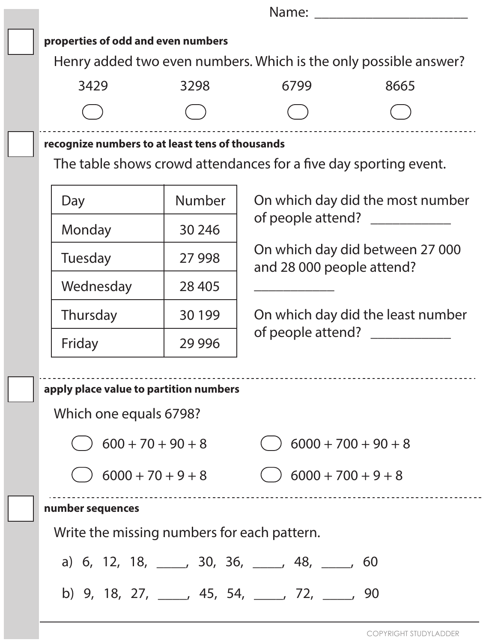| Name: Name                                                       |                                                                  |                                                |                                   |  |  |  |
|------------------------------------------------------------------|------------------------------------------------------------------|------------------------------------------------|-----------------------------------|--|--|--|
| properties of odd and even numbers                               |                                                                  |                                                |                                   |  |  |  |
| Henry added two even numbers. Which is the only possible answer? |                                                                  |                                                |                                   |  |  |  |
| 3429                                                             | 3298                                                             | 6799                                           | 8665                              |  |  |  |
|                                                                  |                                                                  |                                                |                                   |  |  |  |
| recognize numbers to at least tens of thousands                  |                                                                  |                                                |                                   |  |  |  |
|                                                                  | The table shows crowd attendances for a five day sporting event. |                                                |                                   |  |  |  |
| Day                                                              | <b>Number</b>                                                    |                                                | On which day did the most number  |  |  |  |
| Monday                                                           | 30 24 6                                                          | of people attend? ____________                 |                                   |  |  |  |
| Tuesday                                                          | 27 9 98                                                          | and 28 000 people attend?                      | On which day did between 27 000   |  |  |  |
| Wednesday                                                        | 28 4 05                                                          |                                                |                                   |  |  |  |
| Thursday                                                         | 30 199                                                           |                                                | On which day did the least number |  |  |  |
| Friday                                                           | 29 9 96                                                          | of people attend? ____________                 |                                   |  |  |  |
| apply place value to partition numbers                           |                                                                  |                                                |                                   |  |  |  |
| Which one equals 6798?                                           |                                                                  |                                                |                                   |  |  |  |
| $600 + 70 + 90 + 8$                                              |                                                                  |                                                | $6000 + 700 + 90 + 8$             |  |  |  |
| $16000 + 70 + 9 + 8$                                             |                                                                  | $( ) 6000 + 700 + 9 + 8$                       |                                   |  |  |  |
| number sequences                                                 |                                                                  |                                                |                                   |  |  |  |
| Write the missing numbers for each pattern.                      |                                                                  |                                                |                                   |  |  |  |
| a) 6, 12, 18, ____, 30, 36, ____, 48, ____, 60                   |                                                                  |                                                |                                   |  |  |  |
|                                                                  |                                                                  | b) 9, 18, 27, ____, 45, 54, ____, 72, ____, 90 |                                   |  |  |  |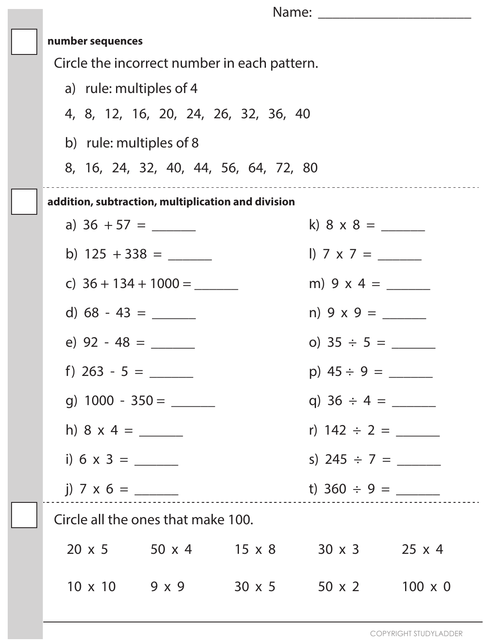| number sequences                                                      |  |                             |                   |                |
|-----------------------------------------------------------------------|--|-----------------------------|-------------------|----------------|
| Circle the incorrect number in each pattern.                          |  |                             |                   |                |
| a) rule: multiples of 4                                               |  |                             |                   |                |
| 4, 8, 12, 16, 20, 24, 26, 32, 36, 40                                  |  |                             |                   |                |
| b) rule: multiples of 8                                               |  |                             |                   |                |
| 8, 16, 24, 32, 40, 44, 56, 64, 72, 80                                 |  |                             |                   |                |
| addition, subtraction, multiplication and division                    |  |                             |                   |                |
|                                                                       |  |                             |                   |                |
|                                                                       |  |                             |                   |                |
| c) $36 + 134 + 1000 =$                                                |  |                             |                   |                |
|                                                                       |  |                             |                   |                |
|                                                                       |  |                             | o) $35 \div 5 =$  |                |
| f) $263 - 5 =$                                                        |  |                             | p) $45 \div 9 =$  |                |
|                                                                       |  |                             |                   |                |
|                                                                       |  |                             | r) $142 \div 2 =$ |                |
|                                                                       |  |                             | s) $245 \div 7 =$ |                |
| j) 7 x 6 = _____                                                      |  |                             |                   |                |
| Circle all the ones that make 100.                                    |  |                             |                   |                |
| $20 \times 5$ $50 \times 4$ $15 \times 8$ $30 \times 3$ $25 \times 4$ |  |                             |                   |                |
| $10 \times 10$ 9 x 9                                                  |  | $30 \times 5$ $50 \times 2$ |                   | $100 \times 0$ |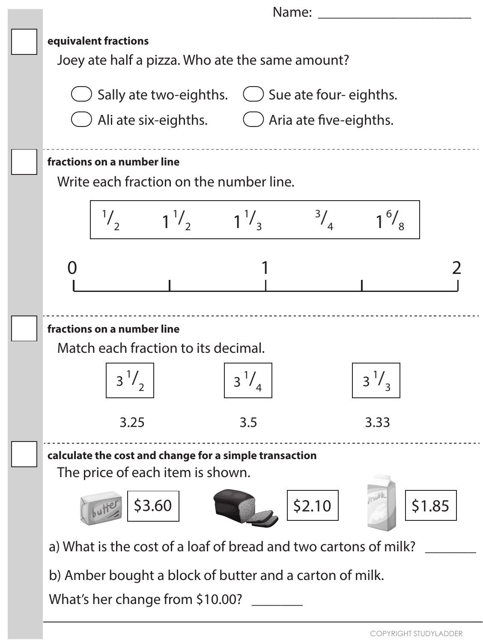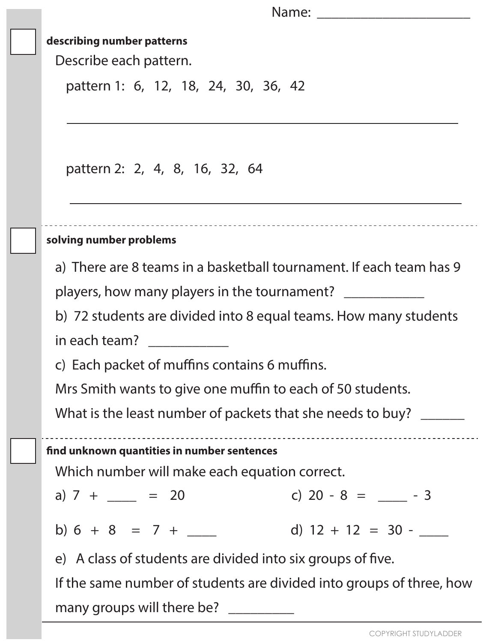| Name: |  |
|-------|--|
|       |  |

### **describing number patterns**

Describe each pattern.

pattern 1: 6, 12, 18, 24, 30, 36, 42

pattern 2: 2, 4, 8, 16, 32, 64

### **solving number problems**

a) There are 8 teams in a basketball tournament. If each team has 9

players, how many players in the tournament? \_\_\_\_\_\_\_\_\_\_\_\_\_

b) 72 students are divided into 8 equal teams. How many students

in each team?

c) Each packet of muffins contains 6 muffins.

Mrs Smith wants to give one muffin to each of 50 students.

What is the least number of packets that she needs to buy? \_\_\_\_\_\_

**nd unknown quantities in number sentences** 

Which number will make each equation correct.

a)  $7 + \_ = 20$  c)  $20 - 8 = \_ -3$ 

b)  $6 + 8 = 7 +$  d)  $12 + 12 = 30 -$ 

e) A class of students are divided into six groups of five.

If the same number of students are divided into groups of three, how many groups will there be?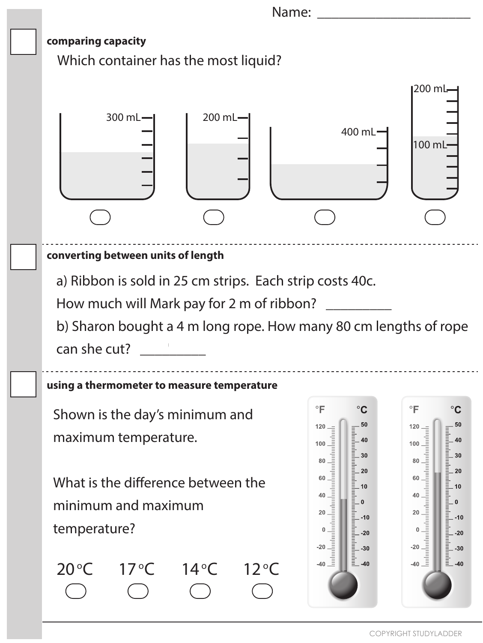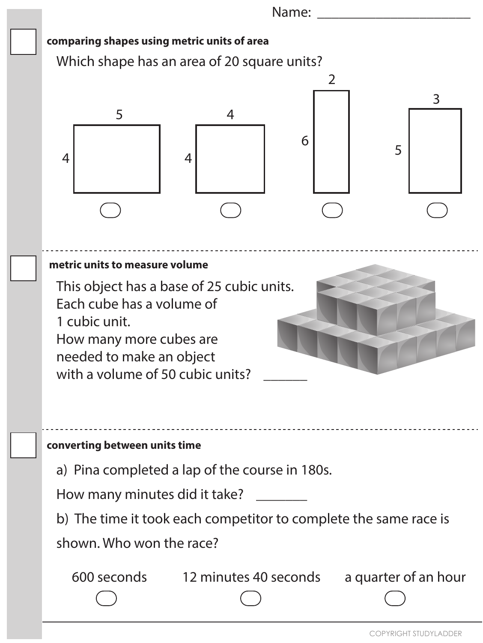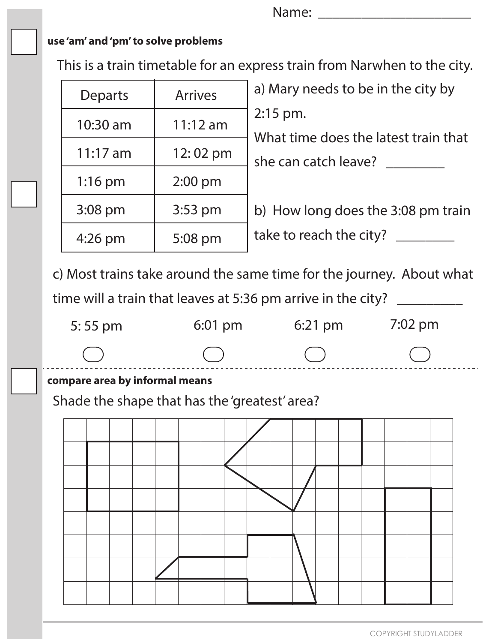Name: \_\_\_\_\_\_\_\_\_\_\_\_\_\_\_\_\_\_\_\_\_

### **use 'am' and 'pm' to solve problems**

This is a train timetable for an express train from Narwhen to the city.

| <b>Departs</b> | <b>Arrives</b> | a) Mary needs to be in the city by                 |
|----------------|----------------|----------------------------------------------------|
| 10:30 am       | $11:12$ am     | $2:15$ pm.<br>What time does the latest train that |
| $11:17$ am     | 12:02 pm       | she can catch leave?                               |
| $1:16$ pm      | $2:00$ pm      |                                                    |
| 3:08 pm        | 3:53 pm        | b) How long does the 3:08 pm train                 |
| $4:26$ pm      | 5:08 pm        | take to reach the city?                            |

c) Most trains take around the same time for the journey. About what

time will a train that leaves at 5:36 pm arrive in the city? \_\_\_\_\_\_\_\_\_



## **compare area by informal means**

Shade the shape that has the 'greatest' area?

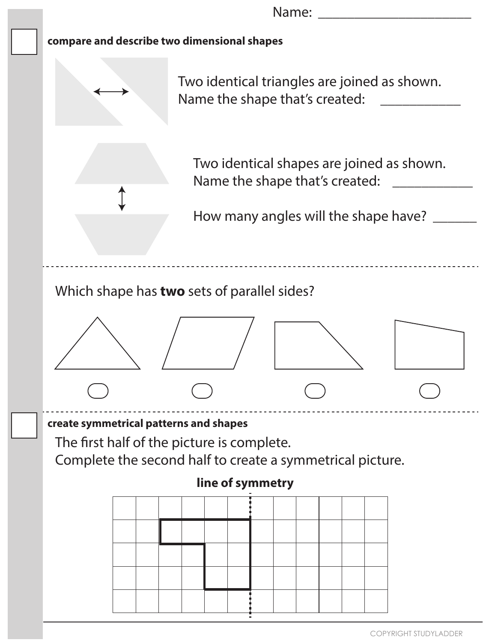**compare and describe two dimensional shapes create symmetrical patterns and shapes** Name: Two identical triangles are joined as shown. Name the shape that's created: \_\_\_\_\_\_\_\_\_\_\_\_ Two identical shapes are joined as shown. Name the shape that's created: \_\_\_\_\_\_\_\_\_\_\_\_ How many angles will the shape have? \_\_\_\_\_\_ Which shape has **two** sets of parallel sides? The first half of the picture is complete. Complete the second half to create a symmetrical picture. **line of symmetry**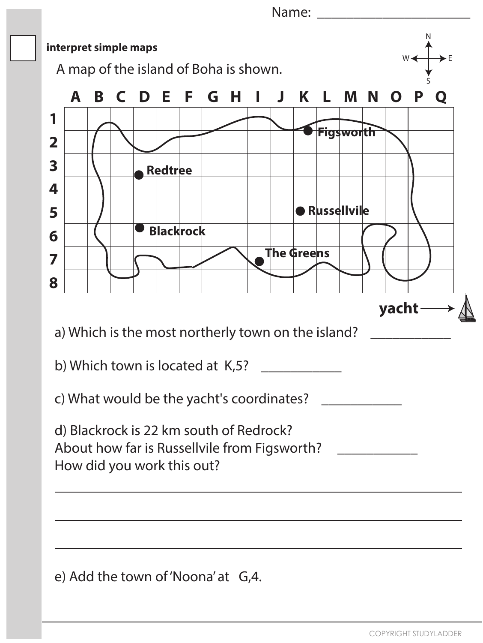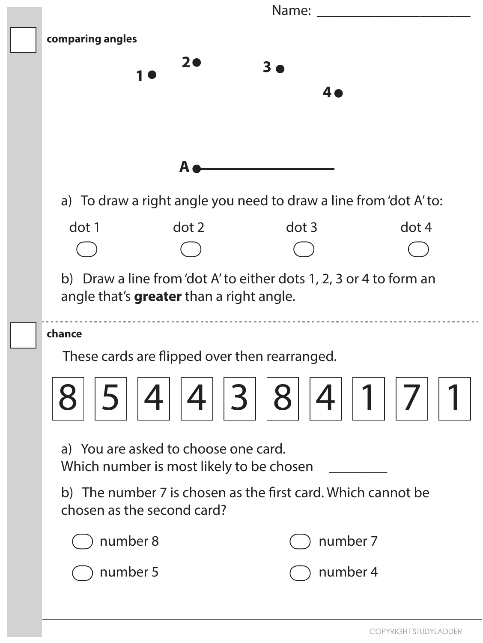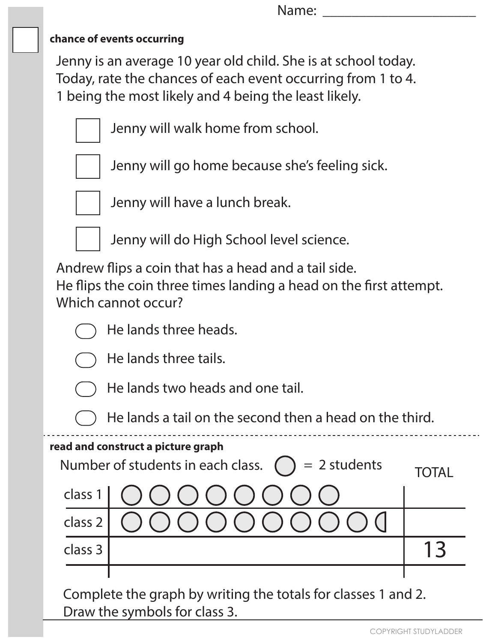## **chance of events occurring**

Jenny is an average 10 year old child. She is at school today. Today, rate the chances of each event occurring from 1 to 4. 1 being the most likely and 4 being the least likely.



Jenny will walk home from school.

Jenny will go home because she's feeling sick.



Jenny will have a lunch break.



Jenny will do High School level science.

Andrew flips a coin that has a head and a tail side.

He flips the coin three times landing a head on the first attempt. Which cannot occur?





He lands three tails.



He lands two heads and one tail.



#### **read and construct a picture graph**

| Number of students in each class. $\bigcap$ = 2 students | TOTAI                                                                                                                            |  |
|----------------------------------------------------------|----------------------------------------------------------------------------------------------------------------------------------|--|
|                                                          | class 1   $\bigcirc$ $\bigcirc$ $\bigcirc$ $\bigcirc$ $\bigcirc$ $\bigcirc$ $\bigcirc$ $\bigcirc$                                |  |
|                                                          | class 2 $\bigcirc$ $\bigcirc$ $\bigcirc$ $\bigcirc$ $\bigcirc$ $\bigcirc$ $\bigcirc$ $\bigcirc$ $\bigcirc$ $\bigcirc$ $\bigcirc$ |  |
| class 3                                                  |                                                                                                                                  |  |
|                                                          |                                                                                                                                  |  |

Complete the graph by writing the totals for classes 1 and 2. Draw the symbols for class 3.